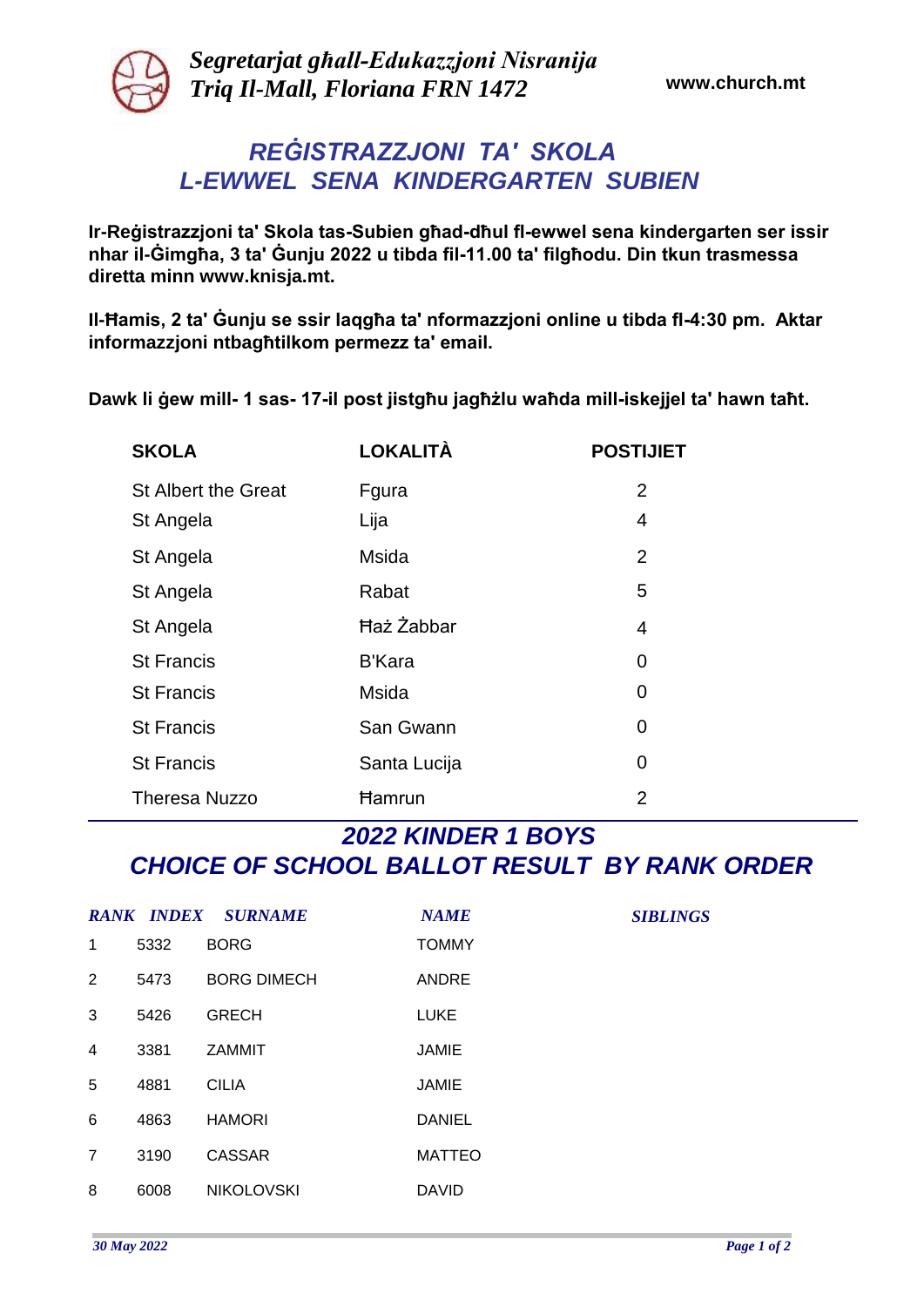

*Segretarjat għall-Edukazzjoni Nisranija Triq Il-Mall, Floriana FRN 1472* **www.church.mt**

## *REĠISTRAZZJONI TA' SKOLA L-EWWEL SENA KINDERGARTEN SUBIEN*

**Ir-Reġistrazzjoni ta' Skola tas-Subien għad-dħul fl-ewwel sena kindergarten ser issir nhar il-Ġimgħa, 3 ta' Ġunju 2022 u tibda fil-11.00 ta' filgħodu. Din tkun trasmessa diretta minn www.knisja.mt.**

**Il-Ħamis, 2 ta' Ġunju se ssir laqgħa ta' nformazzjoni online u tibda fl-4:30 pm. Aktar informazzjoni ntbagħtilkom permezz ta' email.**

**Dawk li ġew mill- 1 sas- 17-il post jistgħu jagħżlu waħda mill-iskejjel ta' hawn taħt.**

| <b>SKOLA</b>               | <b>LOKALITÀ</b>   | <b>POSTIJIET</b> |
|----------------------------|-------------------|------------------|
| <b>St Albert the Great</b> | Fgura             | $\overline{2}$   |
| St Angela                  | Lija              | 4                |
| St Angela                  | <b>Msida</b>      | $\overline{2}$   |
| St Angela                  | Rabat             | 5                |
| St Angela                  | <b>Haz Zabbar</b> | 4                |
| <b>St Francis</b>          | <b>B'Kara</b>     | 0                |
| <b>St Francis</b>          | <b>Msida</b>      | 0                |
| <b>St Francis</b>          | San Gwann         | 0                |
| <b>St Francis</b>          | Santa Lucija      | 0                |
| <b>Theresa Nuzzo</b>       | <b>Hamrun</b>     | 2                |

## *2022 KINDER 1 BOYS CHOICE OF SCHOOL BALLOT RESULT BY RANK ORDER*

|   |      | <b>RANK INDEX SURNAME</b> | <b>NAME</b>   |
|---|------|---------------------------|---------------|
| 1 | 5332 | <b>BORG</b>               | <b>TOMMY</b>  |
| 2 | 5473 | <b>BORG DIMECH</b>        | <b>ANDRE</b>  |
| 3 | 5426 | <b>GRECH</b>              | <b>LUKE</b>   |
| 4 | 3381 | <b>ZAMMIT</b>             | JAMIE         |
| 5 | 4881 | CILIA                     | <b>JAMIE</b>  |
| 6 | 4863 | <b>HAMORI</b>             | <b>DANIEL</b> |
| 7 | 3190 | CASSAR                    | <b>MATTEO</b> |
| 8 | 6008 | <b>NIKOLOVSKI</b>         | DAVID         |

*SIBLINGS*